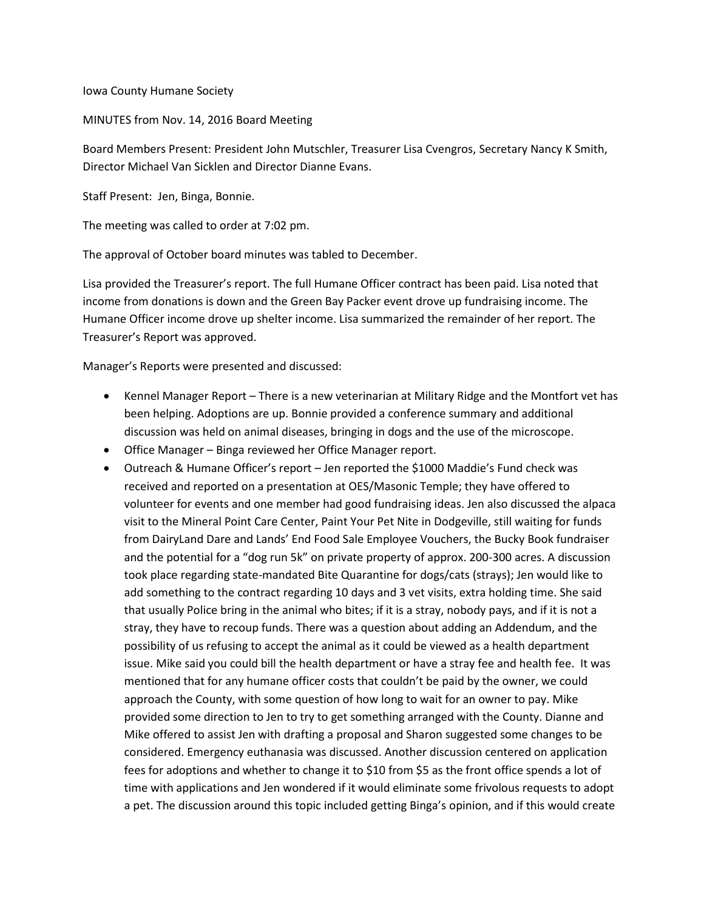Iowa County Humane Society

MINUTES from Nov. 14, 2016 Board Meeting

Board Members Present: President John Mutschler, Treasurer Lisa Cvengros, Secretary Nancy K Smith, Director Michael Van Sicklen and Director Dianne Evans.

Staff Present: Jen, Binga, Bonnie.

The meeting was called to order at 7:02 pm.

The approval of October board minutes was tabled to December.

Lisa provided the Treasurer's report. The full Humane Officer contract has been paid. Lisa noted that income from donations is down and the Green Bay Packer event drove up fundraising income. The Humane Officer income drove up shelter income. Lisa summarized the remainder of her report. The Treasurer's Report was approved.

Manager's Reports were presented and discussed:

- Kennel Manager Report There is a new veterinarian at Military Ridge and the Montfort vet has been helping. Adoptions are up. Bonnie provided a conference summary and additional discussion was held on animal diseases, bringing in dogs and the use of the microscope.
- Office Manager Binga reviewed her Office Manager report.
- Outreach & Humane Officer's report Jen reported the \$1000 Maddie's Fund check was received and reported on a presentation at OES/Masonic Temple; they have offered to volunteer for events and one member had good fundraising ideas. Jen also discussed the alpaca visit to the Mineral Point Care Center, Paint Your Pet Nite in Dodgeville, still waiting for funds from DairyLand Dare and Lands' End Food Sale Employee Vouchers, the Bucky Book fundraiser and the potential for a "dog run 5k" on private property of approx. 200-300 acres. A discussion took place regarding state-mandated Bite Quarantine for dogs/cats (strays); Jen would like to add something to the contract regarding 10 days and 3 vet visits, extra holding time. She said that usually Police bring in the animal who bites; if it is a stray, nobody pays, and if it is not a stray, they have to recoup funds. There was a question about adding an Addendum, and the possibility of us refusing to accept the animal as it could be viewed as a health department issue. Mike said you could bill the health department or have a stray fee and health fee. It was mentioned that for any humane officer costs that couldn't be paid by the owner, we could approach the County, with some question of how long to wait for an owner to pay. Mike provided some direction to Jen to try to get something arranged with the County. Dianne and Mike offered to assist Jen with drafting a proposal and Sharon suggested some changes to be considered. Emergency euthanasia was discussed. Another discussion centered on application fees for adoptions and whether to change it to \$10 from \$5 as the front office spends a lot of time with applications and Jen wondered if it would eliminate some frivolous requests to adopt a pet. The discussion around this topic included getting Binga's opinion, and if this would create